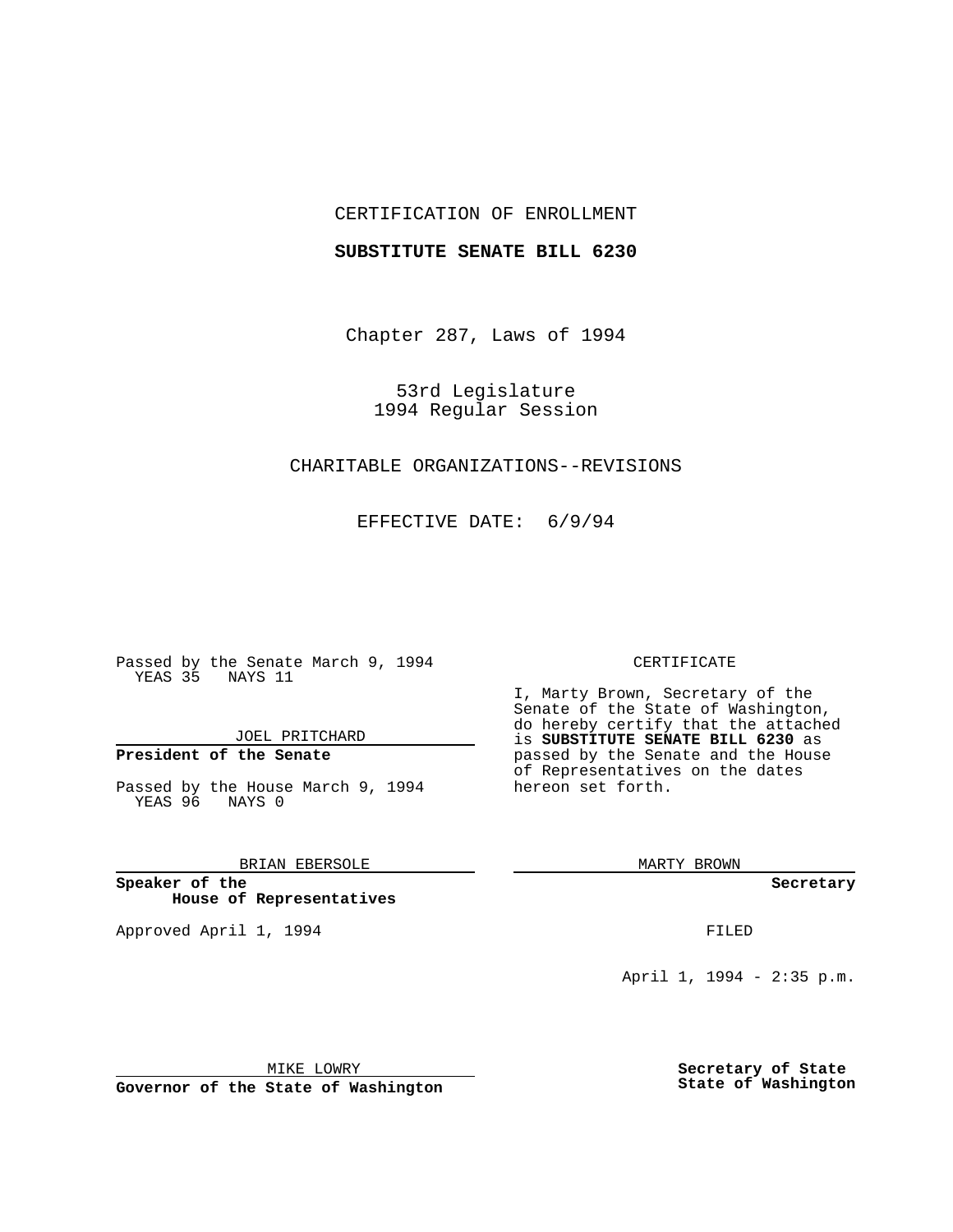#### CERTIFICATION OF ENROLLMENT

#### **SUBSTITUTE SENATE BILL 6230**

Chapter 287, Laws of 1994

53rd Legislature 1994 Regular Session

### CHARITABLE ORGANIZATIONS--REVISIONS

EFFECTIVE DATE: 6/9/94

Passed by the Senate March 9, 1994 YEAS 35 NAYS 11

JOEL PRITCHARD

# **President of the Senate**

Passed by the House March 9, 1994 YEAS 96 NAYS 0

BRIAN EBERSOLE

**Speaker of the House of Representatives**

Approved April 1, 1994 **FILED** 

#### CERTIFICATE

I, Marty Brown, Secretary of the Senate of the State of Washington, do hereby certify that the attached is **SUBSTITUTE SENATE BILL 6230** as passed by the Senate and the House of Representatives on the dates hereon set forth.

MARTY BROWN

**Secretary**

April 1, 1994 - 2:35 p.m.

MIKE LOWRY

**Governor of the State of Washington**

**Secretary of State State of Washington**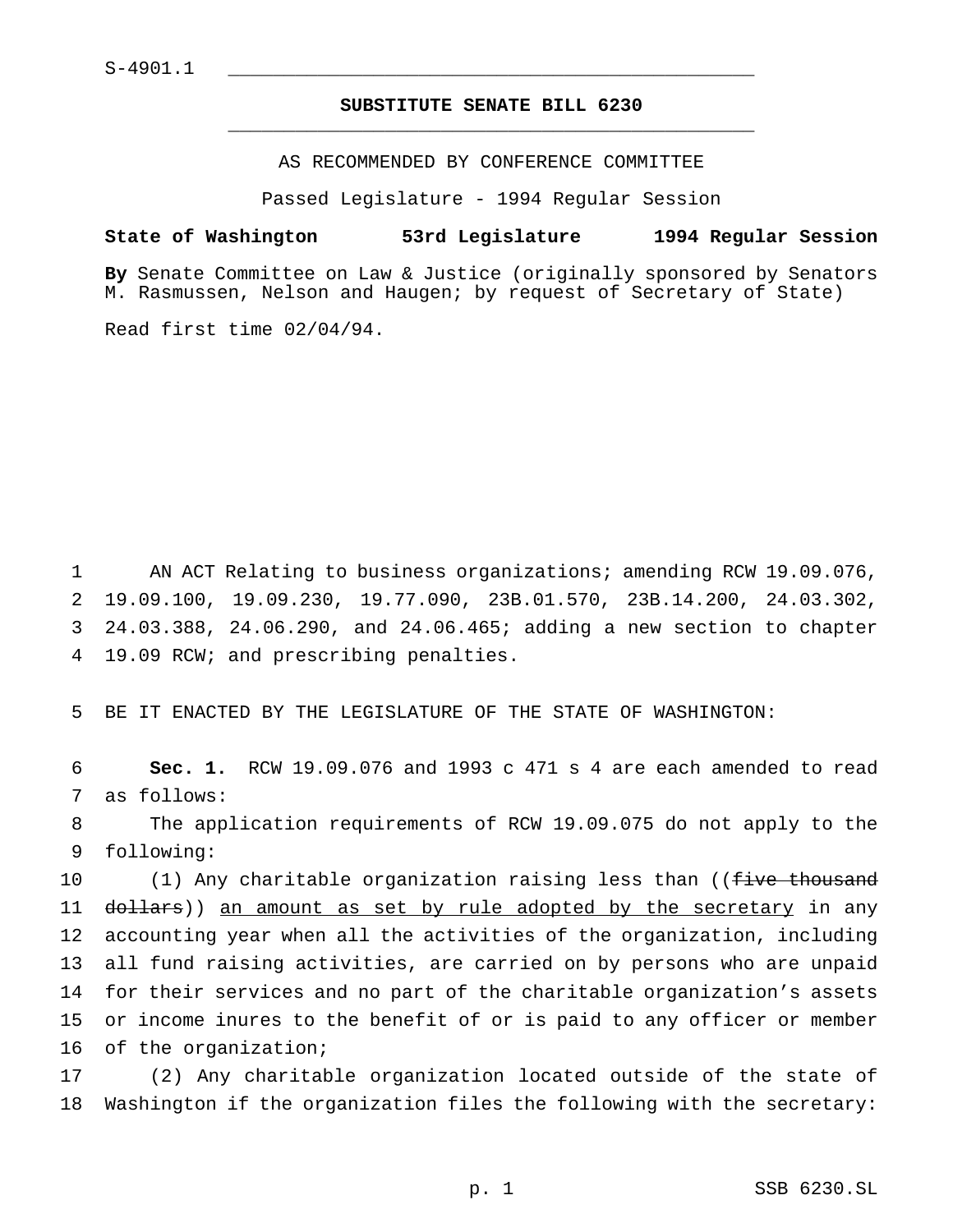# **SUBSTITUTE SENATE BILL 6230** \_\_\_\_\_\_\_\_\_\_\_\_\_\_\_\_\_\_\_\_\_\_\_\_\_\_\_\_\_\_\_\_\_\_\_\_\_\_\_\_\_\_\_\_\_\_\_

AS RECOMMENDED BY CONFERENCE COMMITTEE

Passed Legislature - 1994 Regular Session

# **State of Washington 53rd Legislature 1994 Regular Session**

**By** Senate Committee on Law & Justice (originally sponsored by Senators M. Rasmussen, Nelson and Haugen; by request of Secretary of State)

Read first time 02/04/94.

 AN ACT Relating to business organizations; amending RCW 19.09.076, 19.09.100, 19.09.230, 19.77.090, 23B.01.570, 23B.14.200, 24.03.302, 24.03.388, 24.06.290, and 24.06.465; adding a new section to chapter 19.09 RCW; and prescribing penalties.

5 BE IT ENACTED BY THE LEGISLATURE OF THE STATE OF WASHINGTON:

6 **Sec. 1.** RCW 19.09.076 and 1993 c 471 s 4 are each amended to read 7 as follows:

8 The application requirements of RCW 19.09.075 do not apply to the 9 following:

10 (1) Any charitable organization raising less than ((five thousand 11 dollars)) an amount as set by rule adopted by the secretary in any accounting year when all the activities of the organization, including all fund raising activities, are carried on by persons who are unpaid for their services and no part of the charitable organization's assets or income inures to the benefit of or is paid to any officer or member of the organization;

17 (2) Any charitable organization located outside of the state of 18 Washington if the organization files the following with the secretary: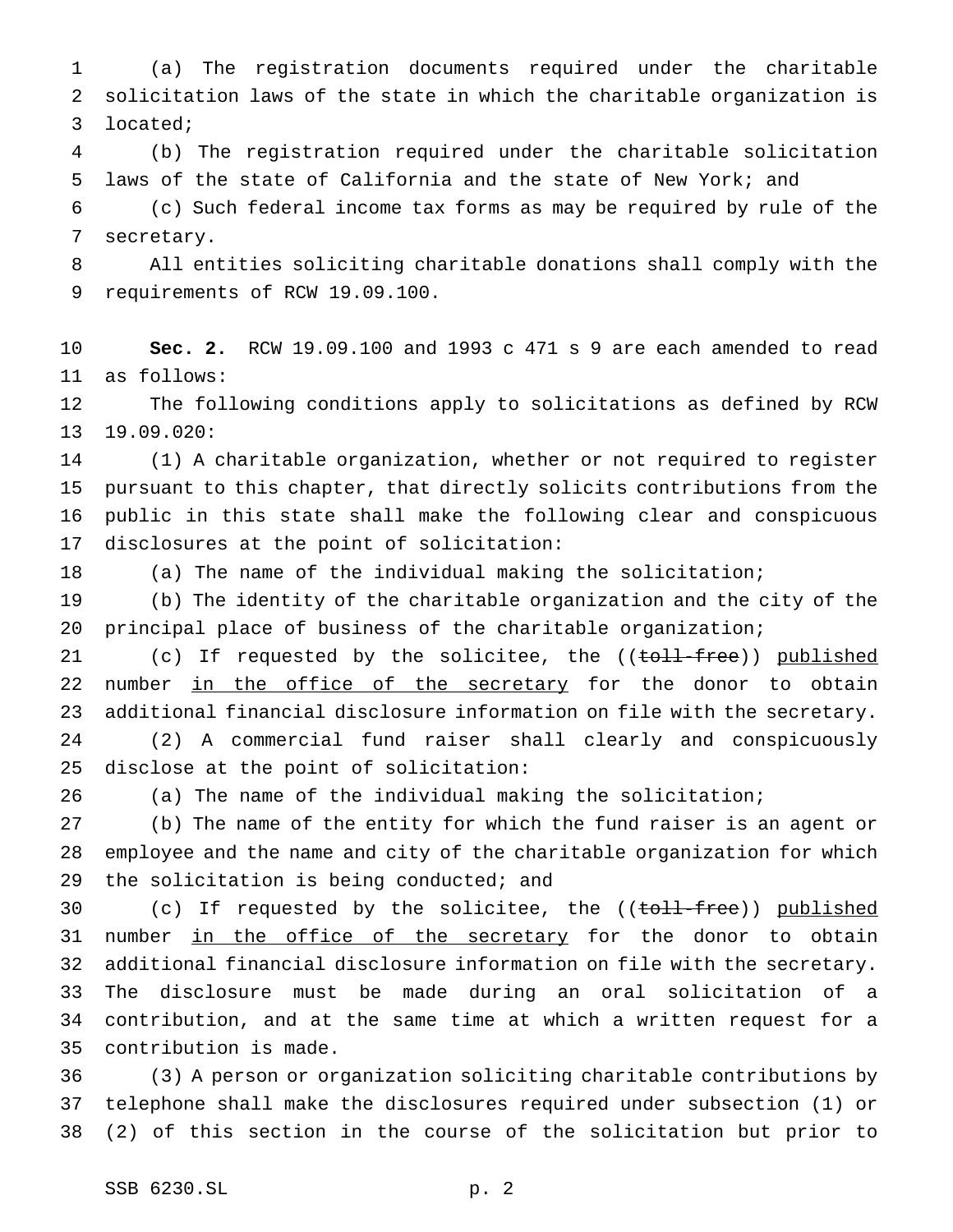(a) The registration documents required under the charitable solicitation laws of the state in which the charitable organization is located;

 (b) The registration required under the charitable solicitation laws of the state of California and the state of New York; and

 (c) Such federal income tax forms as may be required by rule of the secretary.

 All entities soliciting charitable donations shall comply with the requirements of RCW 19.09.100.

 **Sec. 2.** RCW 19.09.100 and 1993 c 471 s 9 are each amended to read as follows:

 The following conditions apply to solicitations as defined by RCW 19.09.020:

 (1) A charitable organization, whether or not required to register pursuant to this chapter, that directly solicits contributions from the public in this state shall make the following clear and conspicuous disclosures at the point of solicitation:

(a) The name of the individual making the solicitation;

 (b) The identity of the charitable organization and the city of the principal place of business of the charitable organization;

21 (c) If requested by the solicitee, the ((toll-free)) published 22 number in the office of the secretary for the donor to obtain additional financial disclosure information on file with the secretary. (2) A commercial fund raiser shall clearly and conspicuously disclose at the point of solicitation:

(a) The name of the individual making the solicitation;

 (b) The name of the entity for which the fund raiser is an agent or employee and the name and city of the charitable organization for which 29 the solicitation is being conducted; and

30 (c) If requested by the solicitee, the ((toll-free)) published 31 number in the office of the secretary for the donor to obtain additional financial disclosure information on file with the secretary. The disclosure must be made during an oral solicitation of a contribution, and at the same time at which a written request for a contribution is made.

 (3) A person or organization soliciting charitable contributions by telephone shall make the disclosures required under subsection (1) or (2) of this section in the course of the solicitation but prior to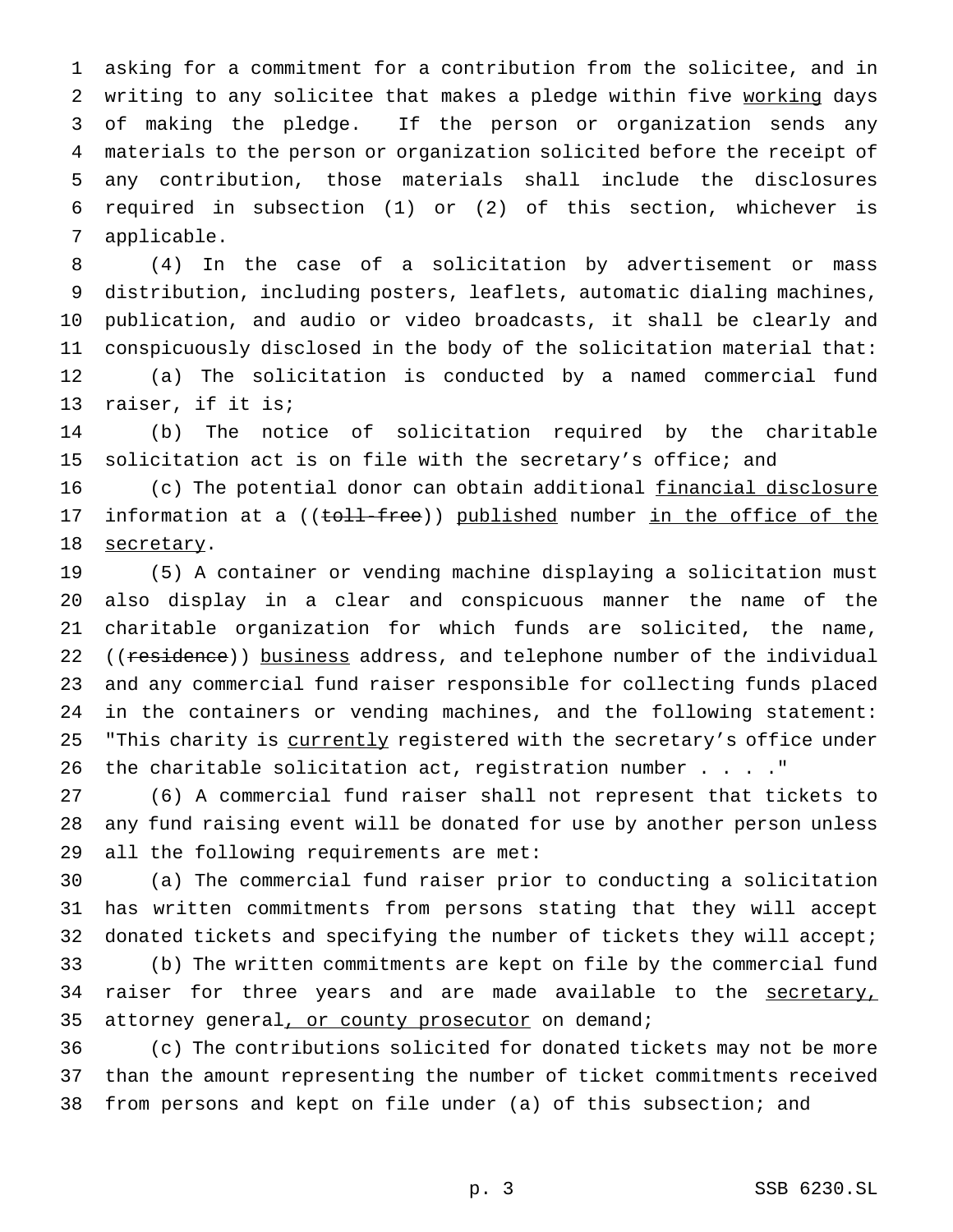asking for a commitment for a contribution from the solicitee, and in 2 writing to any solicitee that makes a pledge within five working days of making the pledge. If the person or organization sends any materials to the person or organization solicited before the receipt of any contribution, those materials shall include the disclosures required in subsection (1) or (2) of this section, whichever is applicable.

 (4) In the case of a solicitation by advertisement or mass distribution, including posters, leaflets, automatic dialing machines, publication, and audio or video broadcasts, it shall be clearly and conspicuously disclosed in the body of the solicitation material that: (a) The solicitation is conducted by a named commercial fund raiser, if it is;

 (b) The notice of solicitation required by the charitable 15 solicitation act is on file with the secretary's office; and

 (c) The potential donor can obtain additional financial disclosure 17 information at a ((toll-free)) published number in the office of the 18 secretary.

 (5) A container or vending machine displaying a solicitation must also display in a clear and conspicuous manner the name of the charitable organization for which funds are solicited, the name, 22 ((residence)) business address, and telephone number of the individual and any commercial fund raiser responsible for collecting funds placed in the containers or vending machines, and the following statement: 25 "This charity is currently registered with the secretary's office under the charitable solicitation act, registration number . . . ."

 (6) A commercial fund raiser shall not represent that tickets to any fund raising event will be donated for use by another person unless all the following requirements are met:

 (a) The commercial fund raiser prior to conducting a solicitation has written commitments from persons stating that they will accept donated tickets and specifying the number of tickets they will accept; (b) The written commitments are kept on file by the commercial fund 34 raiser for three years and are made available to the secretary, attorney general, or county prosecutor on demand;

 (c) The contributions solicited for donated tickets may not be more than the amount representing the number of ticket commitments received from persons and kept on file under (a) of this subsection; and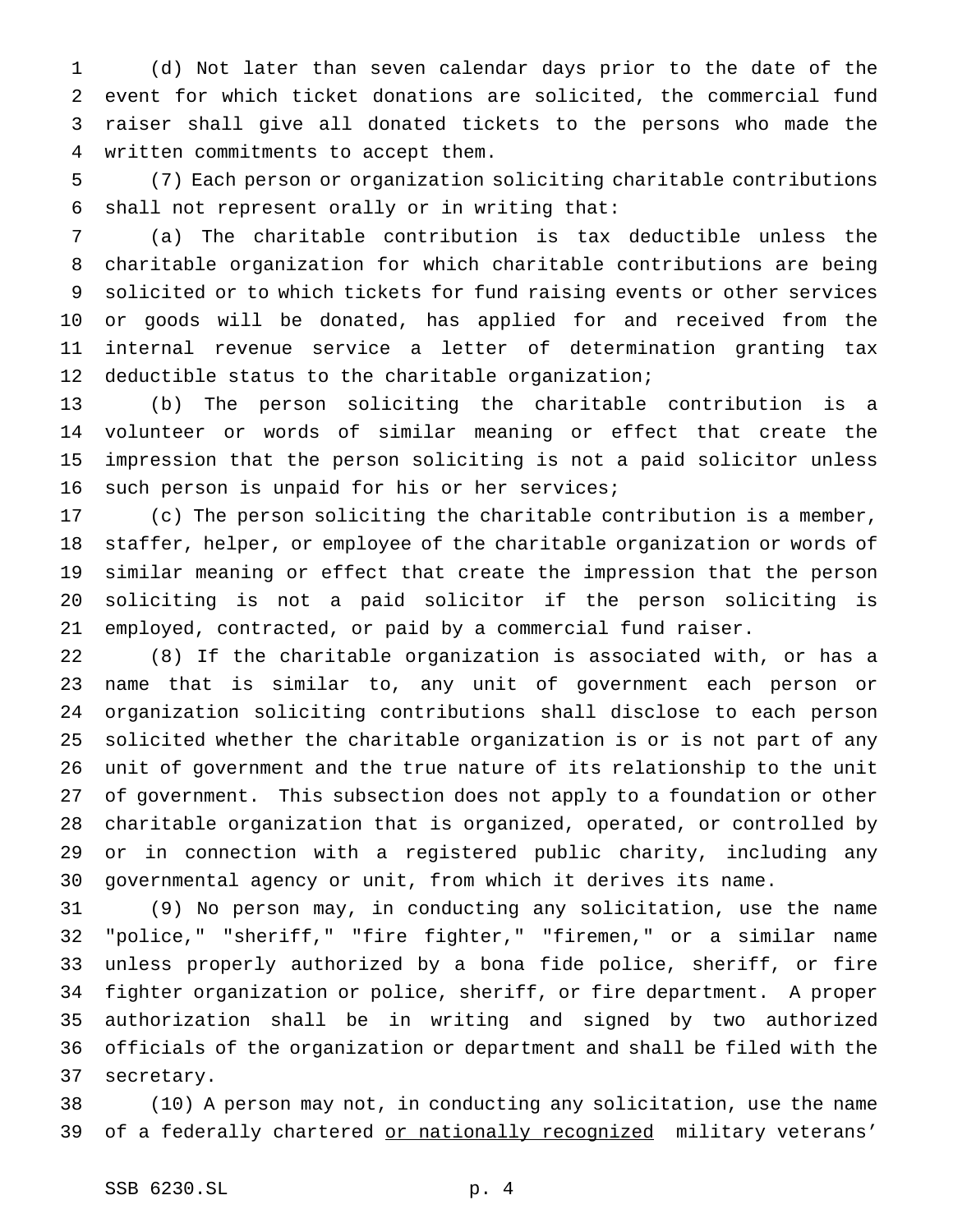(d) Not later than seven calendar days prior to the date of the event for which ticket donations are solicited, the commercial fund raiser shall give all donated tickets to the persons who made the written commitments to accept them.

 (7) Each person or organization soliciting charitable contributions shall not represent orally or in writing that:

 (a) The charitable contribution is tax deductible unless the charitable organization for which charitable contributions are being solicited or to which tickets for fund raising events or other services or goods will be donated, has applied for and received from the internal revenue service a letter of determination granting tax deductible status to the charitable organization;

 (b) The person soliciting the charitable contribution is a volunteer or words of similar meaning or effect that create the impression that the person soliciting is not a paid solicitor unless such person is unpaid for his or her services;

 (c) The person soliciting the charitable contribution is a member, staffer, helper, or employee of the charitable organization or words of similar meaning or effect that create the impression that the person soliciting is not a paid solicitor if the person soliciting is employed, contracted, or paid by a commercial fund raiser.

 (8) If the charitable organization is associated with, or has a name that is similar to, any unit of government each person or organization soliciting contributions shall disclose to each person solicited whether the charitable organization is or is not part of any unit of government and the true nature of its relationship to the unit of government. This subsection does not apply to a foundation or other charitable organization that is organized, operated, or controlled by or in connection with a registered public charity, including any governmental agency or unit, from which it derives its name.

 (9) No person may, in conducting any solicitation, use the name "police," "sheriff," "fire fighter," "firemen," or a similar name unless properly authorized by a bona fide police, sheriff, or fire fighter organization or police, sheriff, or fire department. A proper authorization shall be in writing and signed by two authorized officials of the organization or department and shall be filed with the secretary.

 (10) A person may not, in conducting any solicitation, use the name 39 of a federally chartered or nationally recognized military veterans'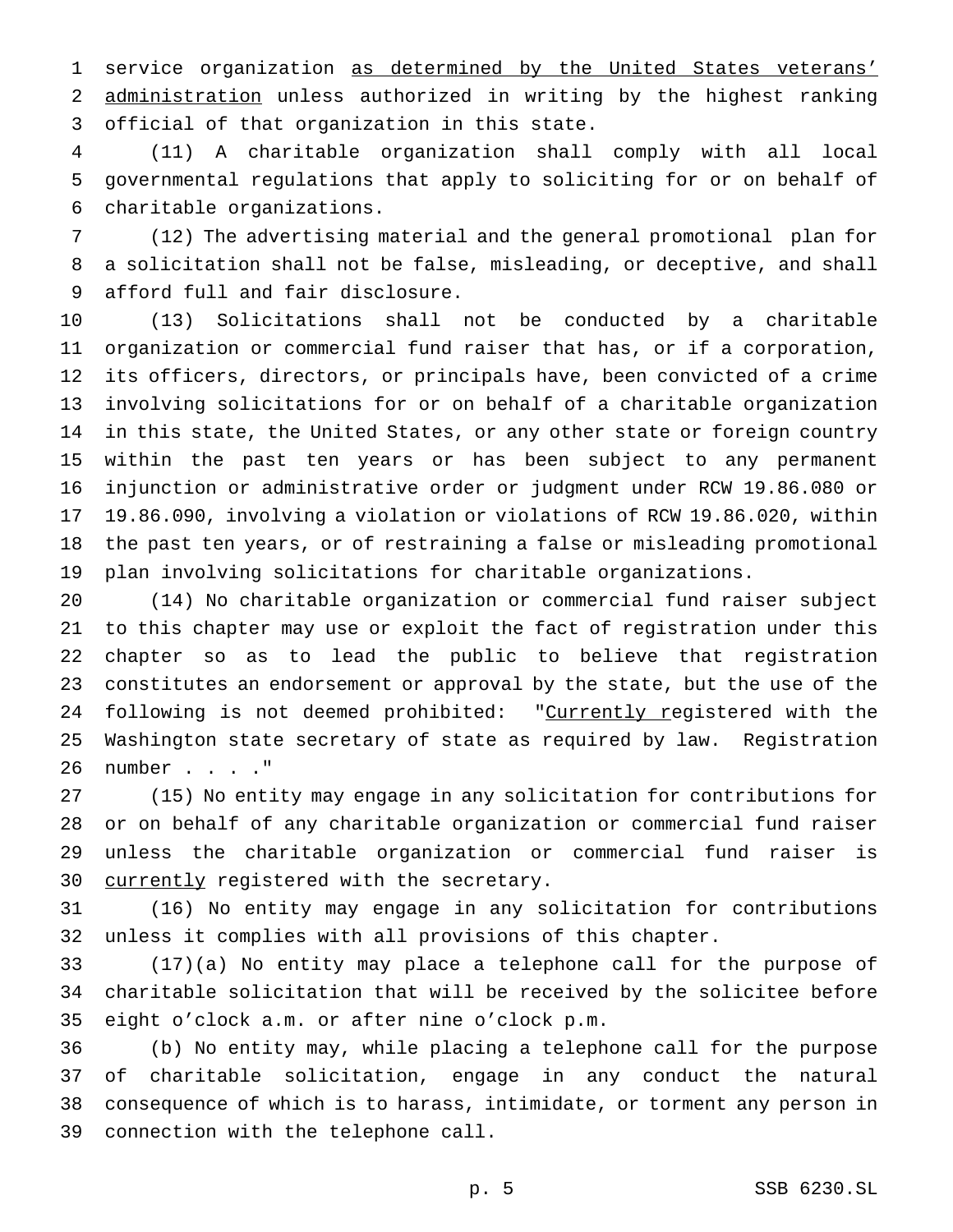service organization as determined by the United States veterans' administration unless authorized in writing by the highest ranking official of that organization in this state.

 (11) A charitable organization shall comply with all local governmental regulations that apply to soliciting for or on behalf of charitable organizations.

 (12) The advertising material and the general promotional plan for a solicitation shall not be false, misleading, or deceptive, and shall afford full and fair disclosure.

 (13) Solicitations shall not be conducted by a charitable organization or commercial fund raiser that has, or if a corporation, its officers, directors, or principals have, been convicted of a crime involving solicitations for or on behalf of a charitable organization in this state, the United States, or any other state or foreign country within the past ten years or has been subject to any permanent injunction or administrative order or judgment under RCW 19.86.080 or 19.86.090, involving a violation or violations of RCW 19.86.020, within the past ten years, or of restraining a false or misleading promotional plan involving solicitations for charitable organizations.

 (14) No charitable organization or commercial fund raiser subject to this chapter may use or exploit the fact of registration under this chapter so as to lead the public to believe that registration constitutes an endorsement or approval by the state, but the use of the 24 following is not deemed prohibited: "Currently registered with the Washington state secretary of state as required by law. Registration number . . . ."

 (15) No entity may engage in any solicitation for contributions for or on behalf of any charitable organization or commercial fund raiser unless the charitable organization or commercial fund raiser is 30 currently registered with the secretary.

 (16) No entity may engage in any solicitation for contributions unless it complies with all provisions of this chapter.

 (17)(a) No entity may place a telephone call for the purpose of charitable solicitation that will be received by the solicitee before eight o'clock a.m. or after nine o'clock p.m.

 (b) No entity may, while placing a telephone call for the purpose of charitable solicitation, engage in any conduct the natural consequence of which is to harass, intimidate, or torment any person in connection with the telephone call.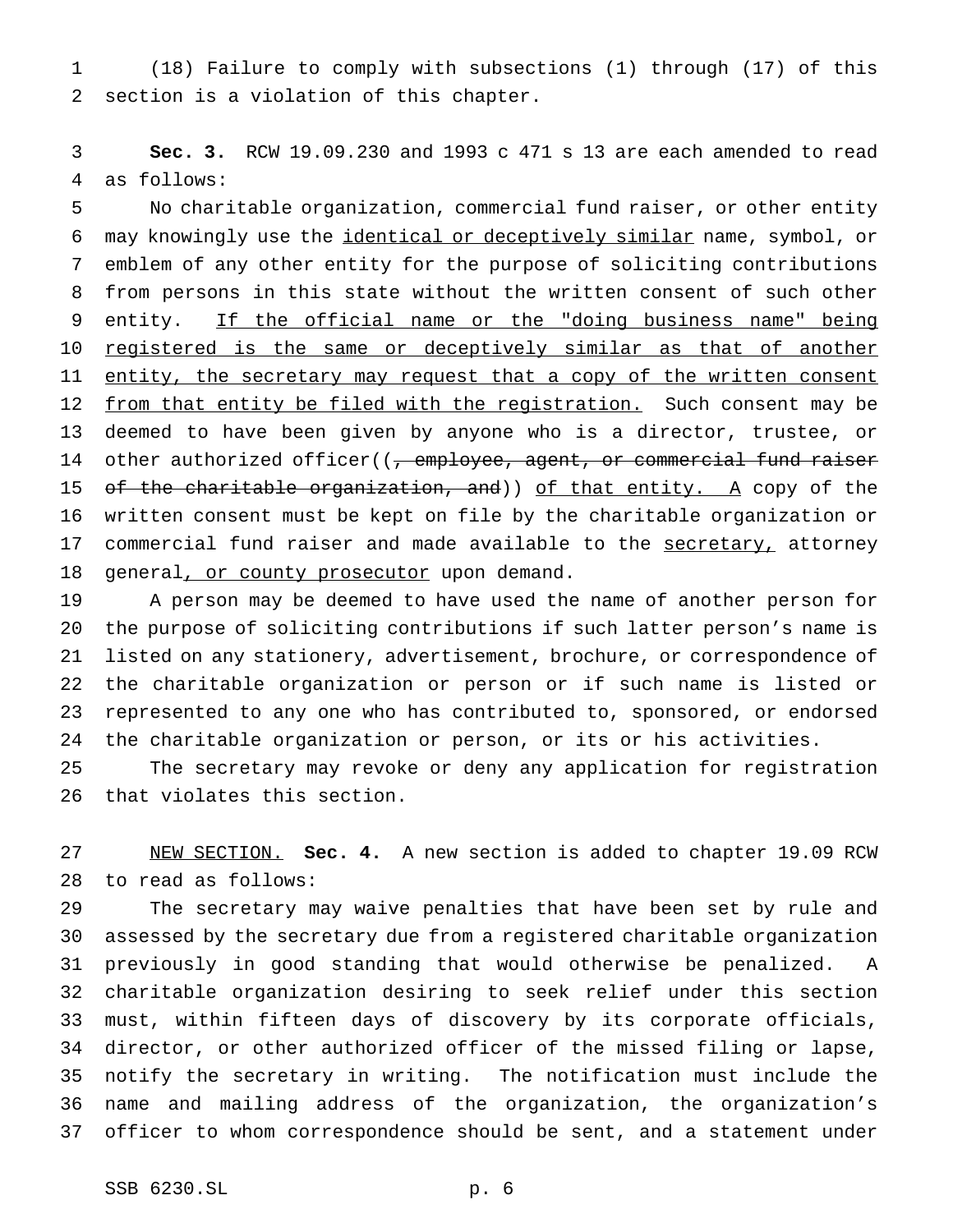(18) Failure to comply with subsections (1) through (17) of this section is a violation of this chapter.

 **Sec. 3.** RCW 19.09.230 and 1993 c 471 s 13 are each amended to read as follows:

 No charitable organization, commercial fund raiser, or other entity may knowingly use the identical or deceptively similar name, symbol, or emblem of any other entity for the purpose of soliciting contributions from persons in this state without the written consent of such other 9 entity. If the official name or the "doing business name" being 10 registered is the same or deceptively similar as that of another 11 entity, the secretary may request that a copy of the written consent 12 from that entity be filed with the registration. Such consent may be deemed to have been given by anyone who is a director, trustee, or 14 other authorized officer((, employee, agent, or commercial fund raiser 15 of the charitable organization, and)) of that entity. A copy of the written consent must be kept on file by the charitable organization or 17 commercial fund raiser and made available to the secretary, attorney 18 general, or county prosecutor upon demand.

 A person may be deemed to have used the name of another person for the purpose of soliciting contributions if such latter person's name is listed on any stationery, advertisement, brochure, or correspondence of the charitable organization or person or if such name is listed or represented to any one who has contributed to, sponsored, or endorsed the charitable organization or person, or its or his activities.

 The secretary may revoke or deny any application for registration that violates this section.

 NEW SECTION. **Sec. 4.** A new section is added to chapter 19.09 RCW to read as follows:

 The secretary may waive penalties that have been set by rule and assessed by the secretary due from a registered charitable organization previously in good standing that would otherwise be penalized. A charitable organization desiring to seek relief under this section must, within fifteen days of discovery by its corporate officials, director, or other authorized officer of the missed filing or lapse, notify the secretary in writing. The notification must include the name and mailing address of the organization, the organization's officer to whom correspondence should be sent, and a statement under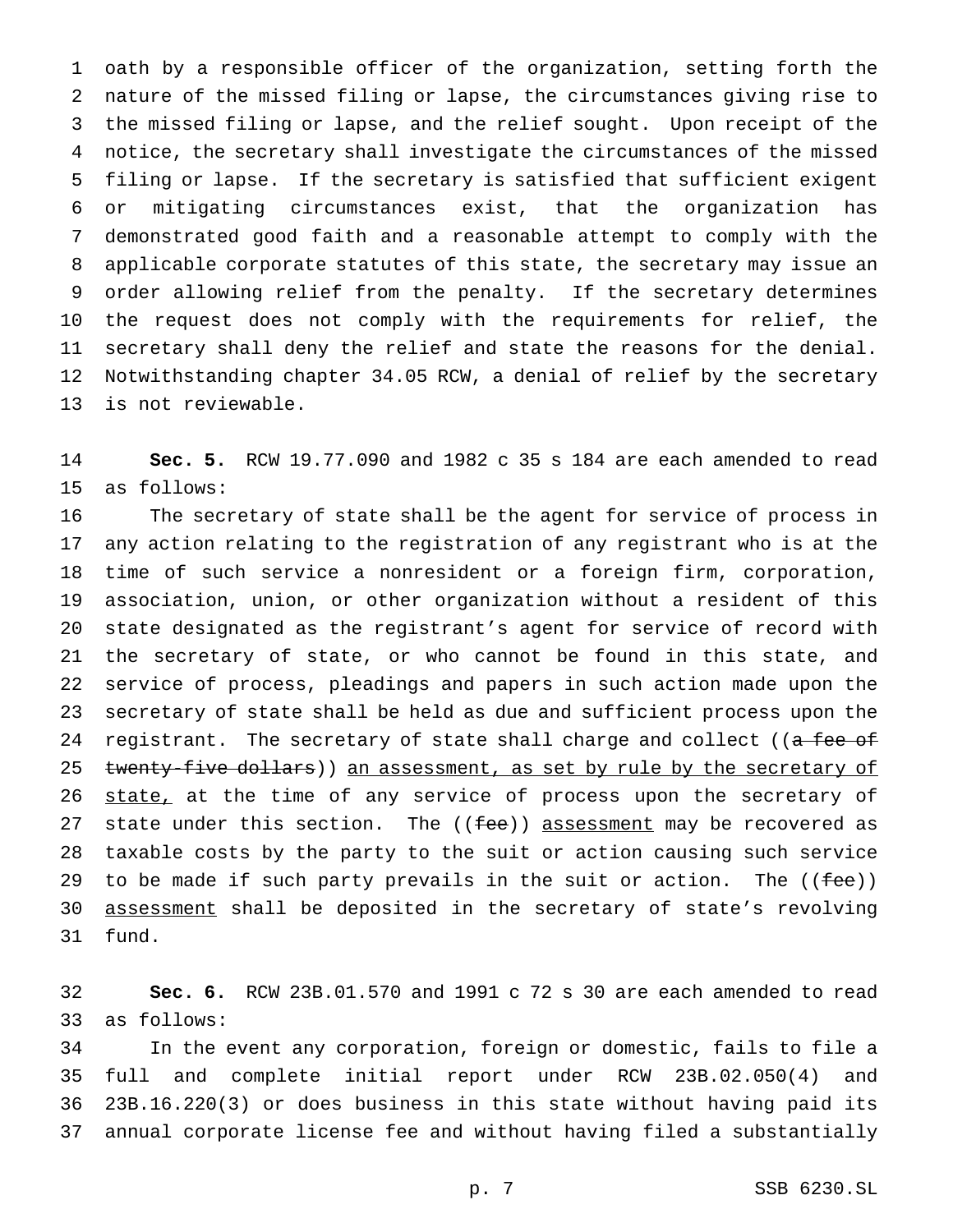oath by a responsible officer of the organization, setting forth the nature of the missed filing or lapse, the circumstances giving rise to the missed filing or lapse, and the relief sought. Upon receipt of the notice, the secretary shall investigate the circumstances of the missed filing or lapse. If the secretary is satisfied that sufficient exigent or mitigating circumstances exist, that the organization has demonstrated good faith and a reasonable attempt to comply with the applicable corporate statutes of this state, the secretary may issue an order allowing relief from the penalty. If the secretary determines the request does not comply with the requirements for relief, the secretary shall deny the relief and state the reasons for the denial. Notwithstanding chapter 34.05 RCW, a denial of relief by the secretary is not reviewable.

 **Sec. 5.** RCW 19.77.090 and 1982 c 35 s 184 are each amended to read as follows:

 The secretary of state shall be the agent for service of process in any action relating to the registration of any registrant who is at the time of such service a nonresident or a foreign firm, corporation, association, union, or other organization without a resident of this state designated as the registrant's agent for service of record with the secretary of state, or who cannot be found in this state, and service of process, pleadings and papers in such action made upon the secretary of state shall be held as due and sufficient process upon the 24 registrant. The secretary of state shall charge and collect ((a fee of 25 twenty-five dollars)) an assessment, as set by rule by the secretary of 26 state, at the time of any service of process upon the secretary of 27 state under this section. The ((fee)) assessment may be recovered as taxable costs by the party to the suit or action causing such service 29 to be made if such party prevails in the suit or action. The  $($  (fee)) assessment shall be deposited in the secretary of state's revolving fund.

 **Sec. 6.** RCW 23B.01.570 and 1991 c 72 s 30 are each amended to read as follows:

 In the event any corporation, foreign or domestic, fails to file a full and complete initial report under RCW 23B.02.050(4) and 23B.16.220(3) or does business in this state without having paid its annual corporate license fee and without having filed a substantially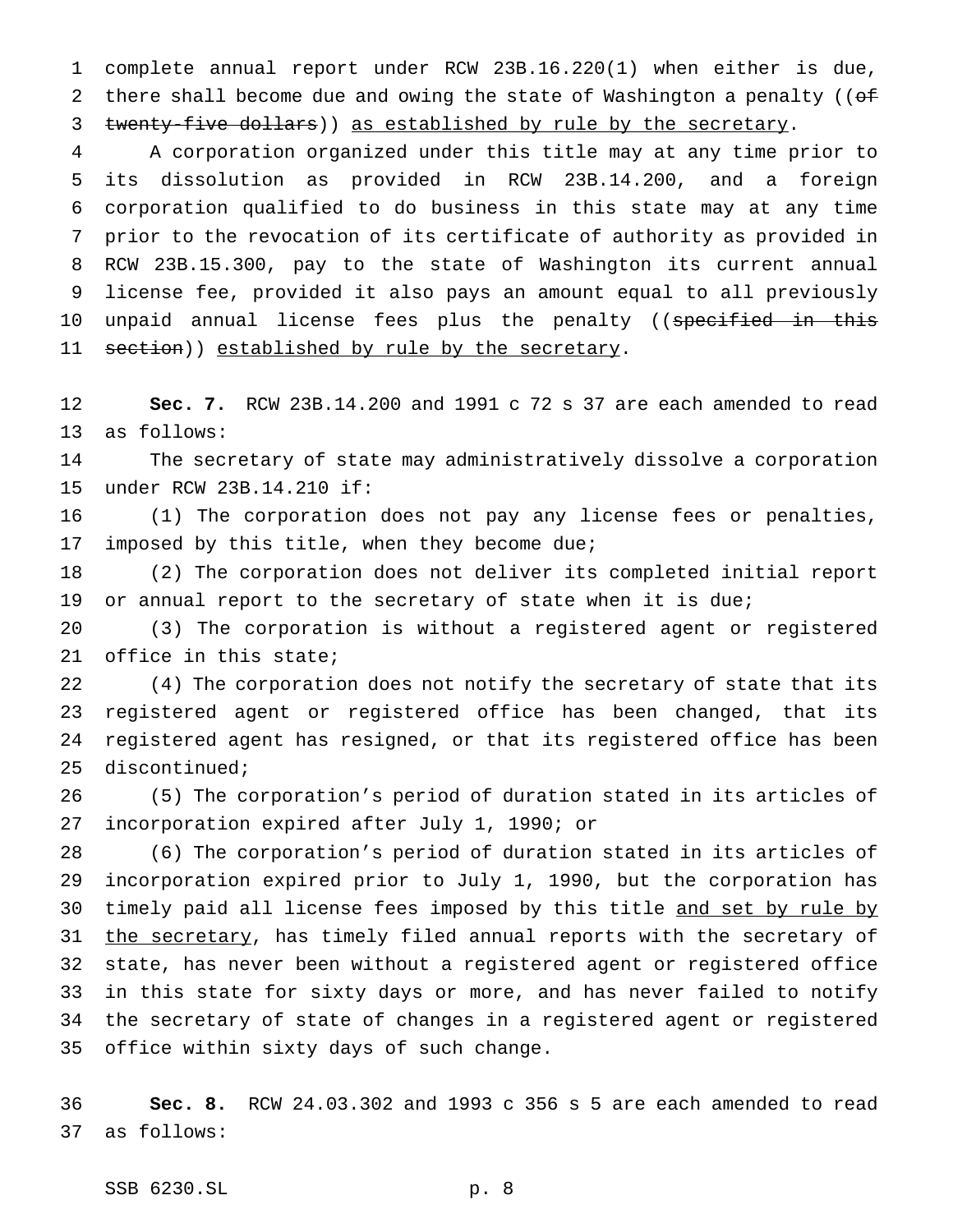complete annual report under RCW 23B.16.220(1) when either is due, 2 there shall become due and owing the state of Washington a penalty (( $\sigma$ f 3 twenty-five dollars)) as established by rule by the secretary.

 A corporation organized under this title may at any time prior to its dissolution as provided in RCW 23B.14.200, and a foreign corporation qualified to do business in this state may at any time prior to the revocation of its certificate of authority as provided in RCW 23B.15.300, pay to the state of Washington its current annual license fee, provided it also pays an amount equal to all previously 10 unpaid annual license fees plus the penalty ((specified in this 11 section)) established by rule by the secretary.

 **Sec. 7.** RCW 23B.14.200 and 1991 c 72 s 37 are each amended to read as follows:

 The secretary of state may administratively dissolve a corporation under RCW 23B.14.210 if:

 (1) The corporation does not pay any license fees or penalties, imposed by this title, when they become due;

 (2) The corporation does not deliver its completed initial report 19 or annual report to the secretary of state when it is due;

 (3) The corporation is without a registered agent or registered office in this state;

 (4) The corporation does not notify the secretary of state that its registered agent or registered office has been changed, that its registered agent has resigned, or that its registered office has been discontinued;

 (5) The corporation's period of duration stated in its articles of incorporation expired after July 1, 1990; or

 (6) The corporation's period of duration stated in its articles of incorporation expired prior to July 1, 1990, but the corporation has 30 timely paid all license fees imposed by this title and set by rule by 31 the secretary, has timely filed annual reports with the secretary of state, has never been without a registered agent or registered office in this state for sixty days or more, and has never failed to notify the secretary of state of changes in a registered agent or registered office within sixty days of such change.

 **Sec. 8.** RCW 24.03.302 and 1993 c 356 s 5 are each amended to read as follows:

SSB 6230.SL p. 8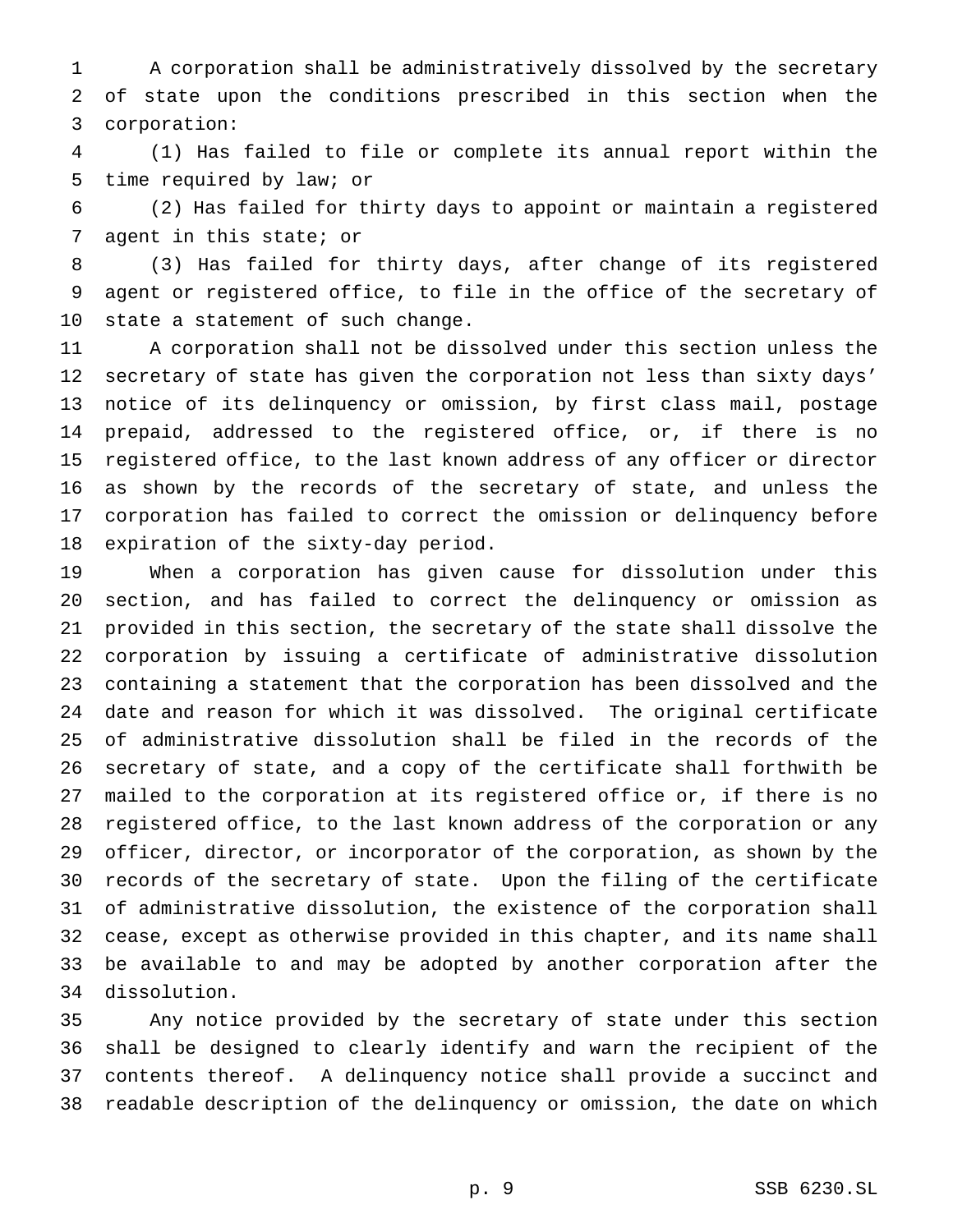A corporation shall be administratively dissolved by the secretary of state upon the conditions prescribed in this section when the corporation:

 (1) Has failed to file or complete its annual report within the time required by law; or

 (2) Has failed for thirty days to appoint or maintain a registered agent in this state; or

 (3) Has failed for thirty days, after change of its registered agent or registered office, to file in the office of the secretary of state a statement of such change.

 A corporation shall not be dissolved under this section unless the secretary of state has given the corporation not less than sixty days' notice of its delinquency or omission, by first class mail, postage prepaid, addressed to the registered office, or, if there is no registered office, to the last known address of any officer or director as shown by the records of the secretary of state, and unless the corporation has failed to correct the omission or delinquency before expiration of the sixty-day period.

 When a corporation has given cause for dissolution under this section, and has failed to correct the delinquency or omission as provided in this section, the secretary of the state shall dissolve the corporation by issuing a certificate of administrative dissolution containing a statement that the corporation has been dissolved and the date and reason for which it was dissolved. The original certificate of administrative dissolution shall be filed in the records of the secretary of state, and a copy of the certificate shall forthwith be mailed to the corporation at its registered office or, if there is no registered office, to the last known address of the corporation or any officer, director, or incorporator of the corporation, as shown by the records of the secretary of state. Upon the filing of the certificate of administrative dissolution, the existence of the corporation shall cease, except as otherwise provided in this chapter, and its name shall be available to and may be adopted by another corporation after the dissolution.

 Any notice provided by the secretary of state under this section shall be designed to clearly identify and warn the recipient of the contents thereof. A delinquency notice shall provide a succinct and readable description of the delinquency or omission, the date on which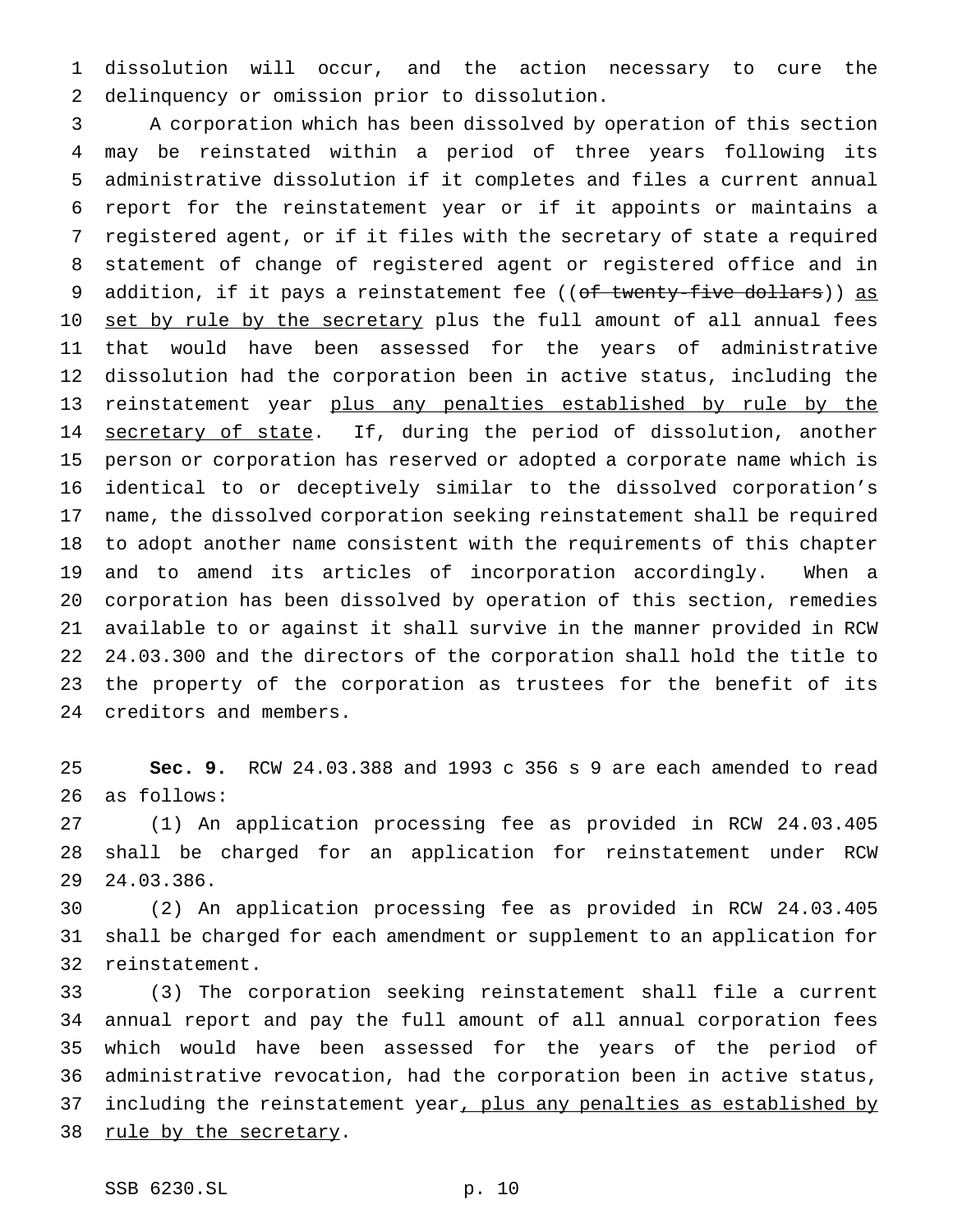dissolution will occur, and the action necessary to cure the delinquency or omission prior to dissolution.

 A corporation which has been dissolved by operation of this section may be reinstated within a period of three years following its administrative dissolution if it completes and files a current annual report for the reinstatement year or if it appoints or maintains a registered agent, or if it files with the secretary of state a required statement of change of registered agent or registered office and in 9 addition, if it pays a reinstatement fee ((of twenty-five dollars)) as 10 set by rule by the secretary plus the full amount of all annual fees that would have been assessed for the years of administrative dissolution had the corporation been in active status, including the 13 reinstatement year plus any penalties established by rule by the 14 secretary of state. If, during the period of dissolution, another person or corporation has reserved or adopted a corporate name which is identical to or deceptively similar to the dissolved corporation's name, the dissolved corporation seeking reinstatement shall be required to adopt another name consistent with the requirements of this chapter and to amend its articles of incorporation accordingly. When a corporation has been dissolved by operation of this section, remedies available to or against it shall survive in the manner provided in RCW 24.03.300 and the directors of the corporation shall hold the title to the property of the corporation as trustees for the benefit of its creditors and members.

 **Sec. 9.** RCW 24.03.388 and 1993 c 356 s 9 are each amended to read as follows:

 (1) An application processing fee as provided in RCW 24.03.405 shall be charged for an application for reinstatement under RCW 24.03.386.

 (2) An application processing fee as provided in RCW 24.03.405 shall be charged for each amendment or supplement to an application for reinstatement.

 (3) The corporation seeking reinstatement shall file a current annual report and pay the full amount of all annual corporation fees which would have been assessed for the years of the period of administrative revocation, had the corporation been in active status, 37 including the reinstatement year, plus any penalties as established by 38 rule by the secretary.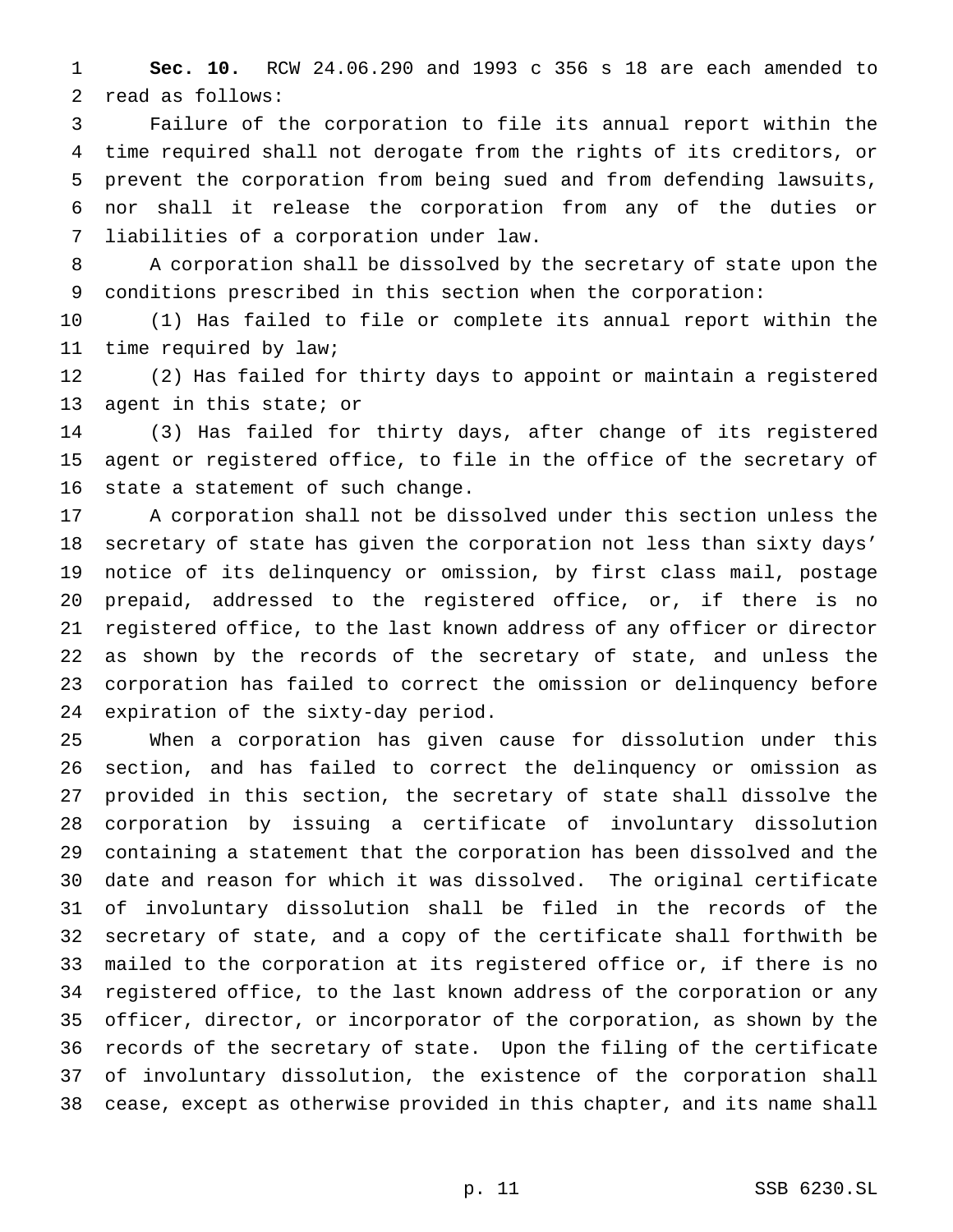**Sec. 10.** RCW 24.06.290 and 1993 c 356 s 18 are each amended to read as follows:

 Failure of the corporation to file its annual report within the time required shall not derogate from the rights of its creditors, or prevent the corporation from being sued and from defending lawsuits, nor shall it release the corporation from any of the duties or liabilities of a corporation under law.

 A corporation shall be dissolved by the secretary of state upon the conditions prescribed in this section when the corporation:

 (1) Has failed to file or complete its annual report within the time required by law;

 (2) Has failed for thirty days to appoint or maintain a registered agent in this state; or

 (3) Has failed for thirty days, after change of its registered agent or registered office, to file in the office of the secretary of state a statement of such change.

 A corporation shall not be dissolved under this section unless the secretary of state has given the corporation not less than sixty days' notice of its delinquency or omission, by first class mail, postage prepaid, addressed to the registered office, or, if there is no registered office, to the last known address of any officer or director as shown by the records of the secretary of state, and unless the corporation has failed to correct the omission or delinquency before expiration of the sixty-day period.

 When a corporation has given cause for dissolution under this section, and has failed to correct the delinquency or omission as provided in this section, the secretary of state shall dissolve the corporation by issuing a certificate of involuntary dissolution containing a statement that the corporation has been dissolved and the date and reason for which it was dissolved. The original certificate of involuntary dissolution shall be filed in the records of the secretary of state, and a copy of the certificate shall forthwith be mailed to the corporation at its registered office or, if there is no registered office, to the last known address of the corporation or any officer, director, or incorporator of the corporation, as shown by the records of the secretary of state. Upon the filing of the certificate of involuntary dissolution, the existence of the corporation shall cease, except as otherwise provided in this chapter, and its name shall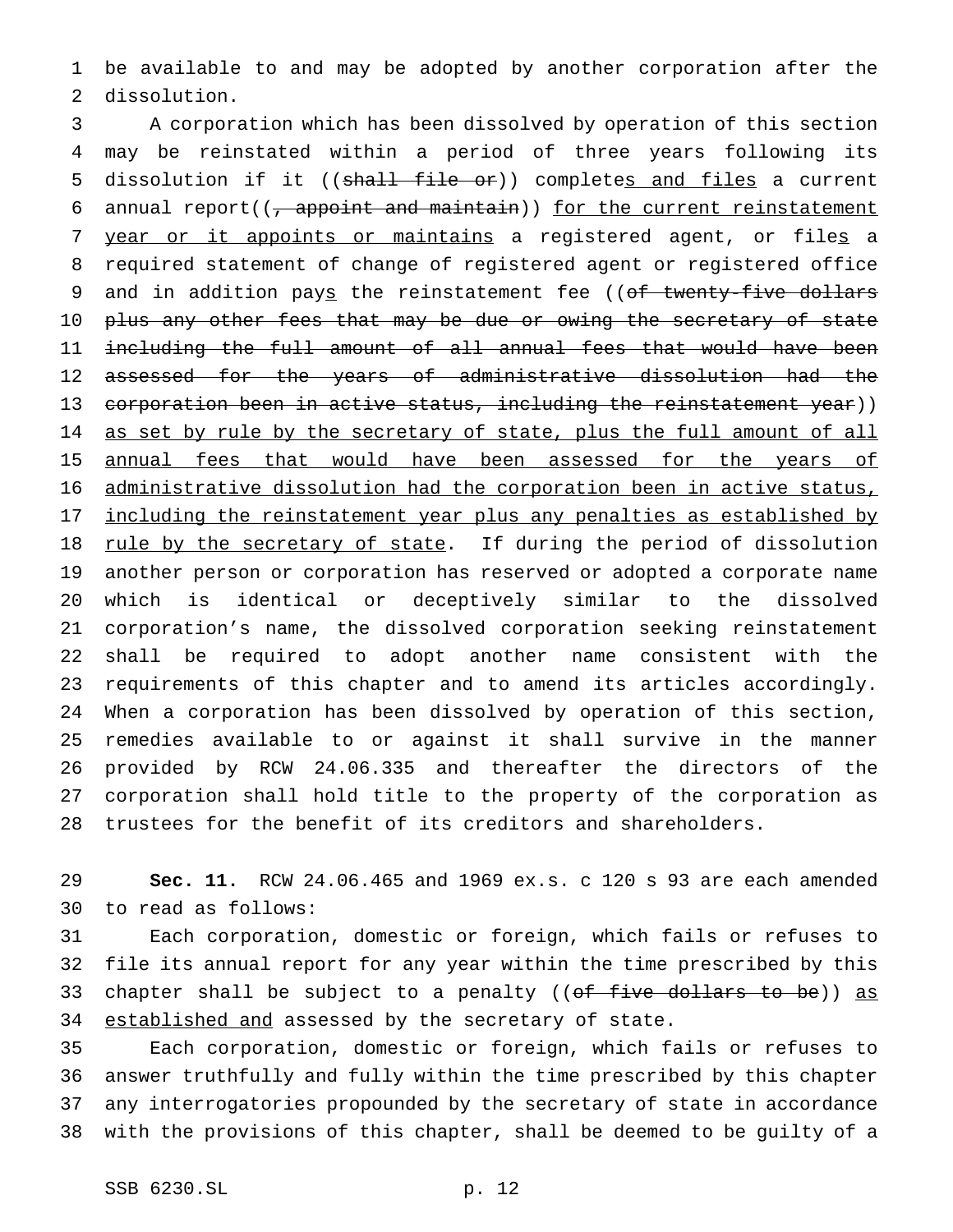be available to and may be adopted by another corporation after the dissolution.

 A corporation which has been dissolved by operation of this section may be reinstated within a period of three years following its 5 dissolution if it ((shall file or)) completes and files a current 6 annual report( $\left(\frac{1}{f}\right)$  appoint and maintain)) for the current reinstatement 7 year or it appoints or maintains a registered agent, or files a required statement of change of registered agent or registered office 9 and in addition pays the reinstatement fee ((of twenty-five dollars 10 p<del>lus any other fees that may be due or owing the secretary of state</del> including the full amount of all annual fees that would have been 12 assessed for the years of administrative dissolution had the 13 corporation been in active status, including the reinstatement year)) 14 as set by rule by the secretary of state, plus the full amount of all 15 annual fees that would have been assessed for the years of administrative dissolution had the corporation been in active status, 17 including the reinstatement year plus any penalties as established by 18 rule by the secretary of state. If during the period of dissolution another person or corporation has reserved or adopted a corporate name which is identical or deceptively similar to the dissolved corporation's name, the dissolved corporation seeking reinstatement shall be required to adopt another name consistent with the requirements of this chapter and to amend its articles accordingly. When a corporation has been dissolved by operation of this section, remedies available to or against it shall survive in the manner provided by RCW 24.06.335 and thereafter the directors of the corporation shall hold title to the property of the corporation as trustees for the benefit of its creditors and shareholders.

 **Sec. 11.** RCW 24.06.465 and 1969 ex.s. c 120 s 93 are each amended to read as follows:

 Each corporation, domestic or foreign, which fails or refuses to file its annual report for any year within the time prescribed by this 33 chapter shall be subject to a penalty ((of five dollars to be)) as 34 established and assessed by the secretary of state.

 Each corporation, domestic or foreign, which fails or refuses to answer truthfully and fully within the time prescribed by this chapter any interrogatories propounded by the secretary of state in accordance with the provisions of this chapter, shall be deemed to be guilty of a